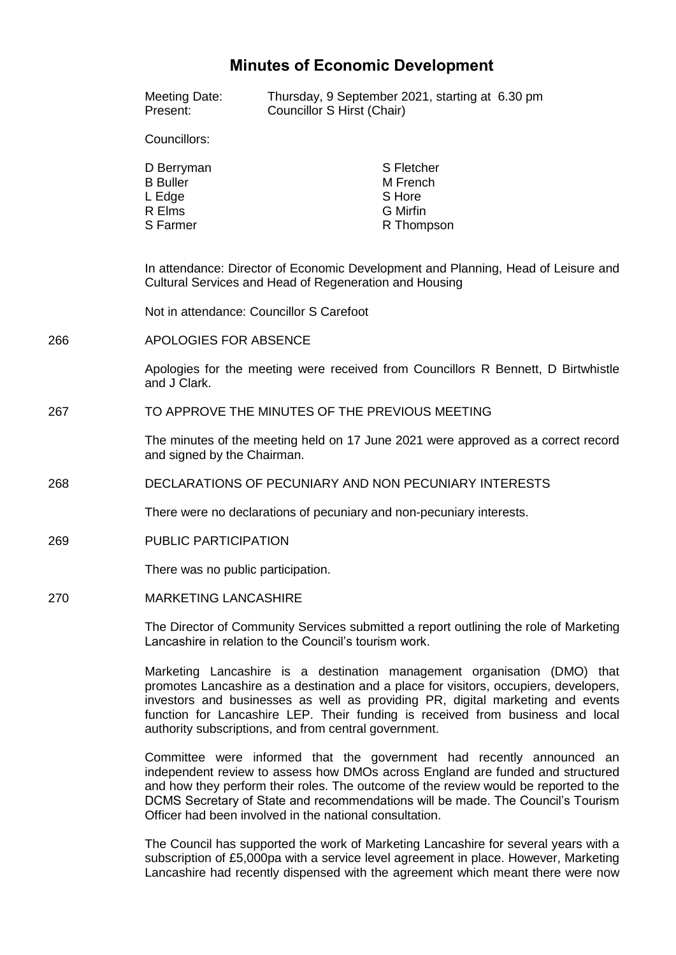## **Minutes of Economic Development**

|     | <b>Meeting Date:</b><br>Present:                                                                                                                                                        | Councillor S Hirst (Chair) | Thursday, 9 September 2021, starting at 6.30 pm                   |  |
|-----|-----------------------------------------------------------------------------------------------------------------------------------------------------------------------------------------|----------------------------|-------------------------------------------------------------------|--|
|     | Councillors:                                                                                                                                                                            |                            |                                                                   |  |
|     | D Berryman<br><b>B</b> Buller<br>L Edge<br>R Elms<br>S Farmer                                                                                                                           |                            | S Fletcher<br>M French<br>S Hore<br><b>G</b> Mirfin<br>R Thompson |  |
|     | In attendance: Director of Economic Development and Planning, Head of Leisure and<br>Cultural Services and Head of Regeneration and Housing<br>Not in attendance: Councillor S Carefoot |                            |                                                                   |  |
|     |                                                                                                                                                                                         |                            |                                                                   |  |
| 266 | APOLOGIES FOR ABSENCE                                                                                                                                                                   |                            |                                                                   |  |
|     | Apologies for the meeting were received from Councillors R Bennett, D Birtwhistle<br>and J Clark.                                                                                       |                            |                                                                   |  |
| 267 | TO APPROVE THE MINUTES OF THE PREVIOUS MEETING                                                                                                                                          |                            |                                                                   |  |
|     | The minutes of the meeting held on 17 June 2021 were approved as a correct record<br>and signed by the Chairman.                                                                        |                            |                                                                   |  |
| 268 | DECLARATIONS OF PECUNIARY AND NON PECUNIARY INTERESTS                                                                                                                                   |                            |                                                                   |  |
|     | There were no declarations of pecuniary and non-pecuniary interests.                                                                                                                    |                            |                                                                   |  |
| 269 | PUBLIC PARTICIPATION                                                                                                                                                                    |                            |                                                                   |  |
|     | There was no public participation.                                                                                                                                                      |                            |                                                                   |  |
| 270 | <b>MARKETING LANCASHIRE</b>                                                                                                                                                             |                            |                                                                   |  |
|     | The Director of Community Services submitted a report outlining the role of Marketing<br>Lancashire in relation to the Council's tourism work.                                          |                            |                                                                   |  |
|     |                                                                                                                                                                                         |                            |                                                                   |  |

Marketing Lancashire is a destination management organisation (DMO) that promotes Lancashire as a destination and a place for visitors, occupiers, developers, investors and businesses as well as providing PR, digital marketing and events function for Lancashire LEP. Their funding is received from business and local authority subscriptions, and from central government.

Committee were informed that the government had recently announced an independent review to assess how DMOs across England are funded and structured and how they perform their roles. The outcome of the review would be reported to the DCMS Secretary of State and recommendations will be made. The Council's Tourism Officer had been involved in the national consultation.

The Council has supported the work of Marketing Lancashire for several years with a subscription of £5,000pa with a service level agreement in place. However, Marketing Lancashire had recently dispensed with the agreement which meant there were now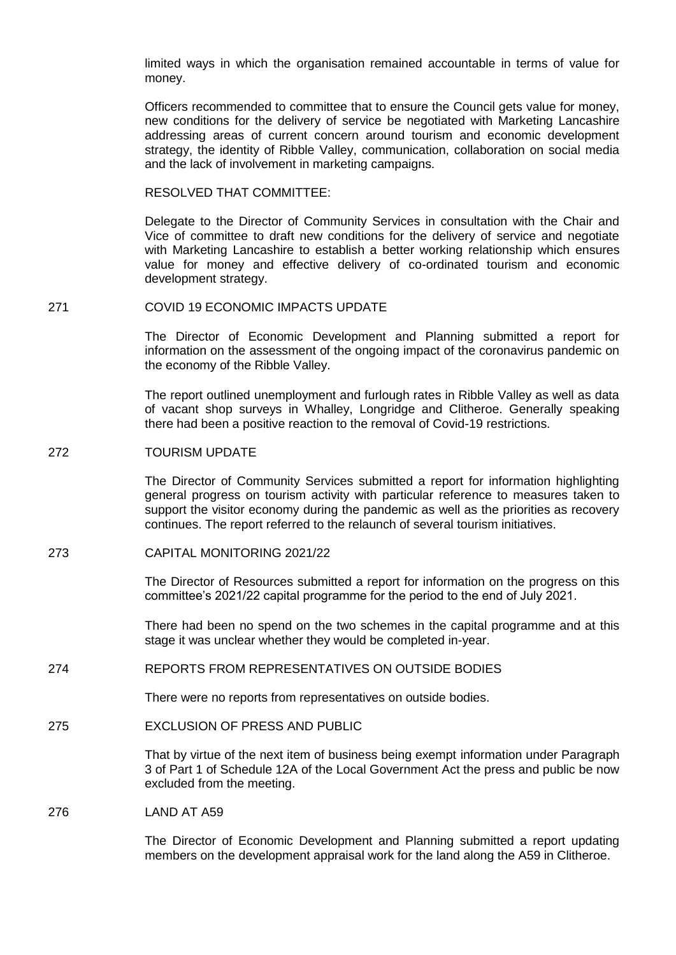limited ways in which the organisation remained accountable in terms of value for money.

Officers recommended to committee that to ensure the Council gets value for money, new conditions for the delivery of service be negotiated with Marketing Lancashire addressing areas of current concern around tourism and economic development strategy, the identity of Ribble Valley, communication, collaboration on social media and the lack of involvement in marketing campaigns.

RESOLVED THAT COMMITTEE:

Delegate to the Director of Community Services in consultation with the Chair and Vice of committee to draft new conditions for the delivery of service and negotiate with Marketing Lancashire to establish a better working relationship which ensures value for money and effective delivery of co-ordinated tourism and economic development strategy.

271 COVID 19 ECONOMIC IMPACTS UPDATE

The Director of Economic Development and Planning submitted a report for information on the assessment of the ongoing impact of the coronavirus pandemic on the economy of the Ribble Valley.

The report outlined unemployment and furlough rates in Ribble Valley as well as data of vacant shop surveys in Whalley, Longridge and Clitheroe. Generally speaking there had been a positive reaction to the removal of Covid-19 restrictions.

## 272 TOURISM UPDATE

The Director of Community Services submitted a report for information highlighting general progress on tourism activity with particular reference to measures taken to support the visitor economy during the pandemic as well as the priorities as recovery continues. The report referred to the relaunch of several tourism initiatives.

273 CAPITAL MONITORING 2021/22

The Director of Resources submitted a report for information on the progress on this committee's 2021/22 capital programme for the period to the end of July 2021.

There had been no spend on the two schemes in the capital programme and at this stage it was unclear whether they would be completed in-year.

## 274 REPORTS FROM REPRESENTATIVES ON OUTSIDE BODIES

There were no reports from representatives on outside bodies.

275 EXCLUSION OF PRESS AND PUBLIC

That by virtue of the next item of business being exempt information under Paragraph 3 of Part 1 of Schedule 12A of the Local Government Act the press and public be now excluded from the meeting.

276 LAND AT A59

The Director of Economic Development and Planning submitted a report updating members on the development appraisal work for the land along the A59 in Clitheroe.